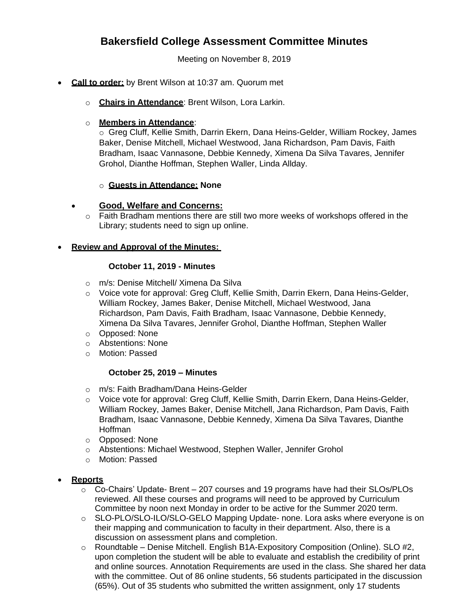# **Bakersfield College Assessment Committee Minutes**

Meeting on November 8, 2019

- **Call to order:** by Brent Wilson at 10:37 am. Quorum met
	- o **Chairs in Attendance**: Brent Wilson, Lora Larkin.

## o **Members in Attendance**:

o Greg Cluff, Kellie Smith, Darrin Ekern, Dana Heins-Gelder, William Rockey, James Baker, Denise Mitchell, Michael Westwood, Jana Richardson, Pam Davis, Faith Bradham, Isaac Vannasone, Debbie Kennedy, Ximena Da Silva Tavares, Jennifer Grohol, Dianthe Hoffman, Stephen Waller, Linda Allday.

## o **Guests in Attendance: None**

# **Good, Welfare and Concerns:**

 $\circ$  Faith Bradham mentions there are still two more weeks of workshops offered in the Library; students need to sign up online.

## **Review and Approval of the Minutes:**

## **October 11, 2019 - Minutes**

- o m/s: Denise Mitchell/ Ximena Da Silva
- o Voice vote for approval: Greg Cluff, Kellie Smith, Darrin Ekern, Dana Heins-Gelder, William Rockey, James Baker, Denise Mitchell, Michael Westwood, Jana Richardson, Pam Davis, Faith Bradham, Isaac Vannasone, Debbie Kennedy, Ximena Da Silva Tavares, Jennifer Grohol, Dianthe Hoffman, Stephen Waller
- o Opposed: None
- o Abstentions: None
- o Motion: Passed

# **October 25, 2019 – Minutes**

- o m/s: Faith Bradham/Dana Heins-Gelder
- o Voice vote for approval: Greg Cluff, Kellie Smith, Darrin Ekern, Dana Heins-Gelder, William Rockey, James Baker, Denise Mitchell, Jana Richardson, Pam Davis, Faith Bradham, Isaac Vannasone, Debbie Kennedy, Ximena Da Silva Tavares, Dianthe Hoffman
- o Opposed: None
- o Abstentions: Michael Westwood, Stephen Waller, Jennifer Grohol
- o Motion: Passed
- **Reports**
	- $\circ$  Co-Chairs' Update- Brent 207 courses and 19 programs have had their SLOs/PLOs reviewed. All these courses and programs will need to be approved by Curriculum Committee by noon next Monday in order to be active for the Summer 2020 term.
	- o SLO-PLO/SLO-ILO/SLO-GELO Mapping Update- none. Lora asks where everyone is on their mapping and communication to faculty in their department. Also, there is a discussion on assessment plans and completion.
	- o Roundtable Denise Mitchell. English B1A-Expository Composition (Online). SLO #2, upon completion the student will be able to evaluate and establish the credibility of print and online sources. Annotation Requirements are used in the class. She shared her data with the committee. Out of 86 online students, 56 students participated in the discussion (65%). Out of 35 students who submitted the written assignment, only 17 students